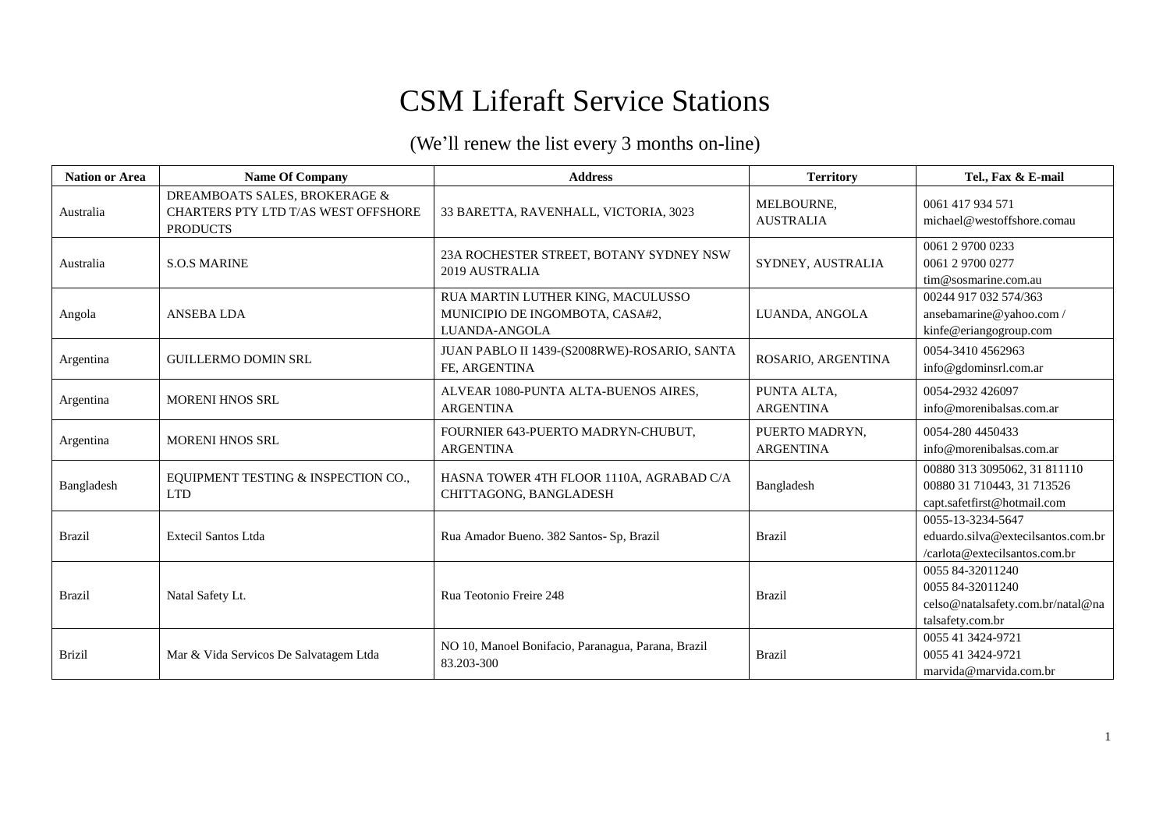## CSM Liferaft Service Stations

## (We'll renew the list every 3 months on-line)

| <b>Nation or Area</b> | <b>Name Of Company</b>                                                                  | <b>Address</b>                                                                        | <b>Territory</b>                   | Tel., Fax & E-mail                                                                            |
|-----------------------|-----------------------------------------------------------------------------------------|---------------------------------------------------------------------------------------|------------------------------------|-----------------------------------------------------------------------------------------------|
| Australia             | DREAMBOATS SALES, BROKERAGE &<br>CHARTERS PTY LTD T/AS WEST OFFSHORE<br><b>PRODUCTS</b> | 33 BARETTA, RAVENHALL, VICTORIA, 3023                                                 | MELBOURNE,<br><b>AUSTRALIA</b>     | 0061 417 934 571<br>michael@westoffshore.comau                                                |
| Australia             | <b>S.O.S MARINE</b>                                                                     | 23A ROCHESTER STREET, BOTANY SYDNEY NSW<br>2019 AUSTRALIA                             | SYDNEY, AUSTRALIA                  | 0061 2 9700 0233<br>0061 2 9700 0277<br>tim@sosmarine.com.au                                  |
| Angola                | <b>ANSEBALDA</b>                                                                        | RUA MARTIN LUTHER KING, MACULUSSO<br>MUNICIPIO DE INGOMBOTA, CASA#2,<br>LUANDA-ANGOLA | LUANDA, ANGOLA                     | 00244 917 032 574/363<br>ansebamarine@yahoo.com /<br>kinfe@eriangogroup.com                   |
| Argentina             | <b>GUILLERMO DOMIN SRL</b>                                                              | JUAN PABLO II 1439-(S2008RWE)-ROSARIO, SANTA<br>FE, ARGENTINA                         | ROSARIO, ARGENTINA                 | 0054-3410 4562963<br>info@gdominsrl.com.ar                                                    |
| Argentina             | <b>MORENI HNOS SRL</b>                                                                  | ALVEAR 1080-PUNTA ALTA-BUENOS AIRES,<br><b>ARGENTINA</b>                              | PUNTA ALTA,<br><b>ARGENTINA</b>    | 0054-2932 426097<br>info@morenibalsas.com.ar                                                  |
| Argentina             | <b>MORENI HNOS SRL</b>                                                                  | FOURNIER 643-PUERTO MADRYN-CHUBUT,<br><b>ARGENTINA</b>                                | PUERTO MADRYN,<br><b>ARGENTINA</b> | 0054-280 4450433<br>info@morenibalsas.com.ar                                                  |
| Bangladesh            | EQUIPMENT TESTING & INSPECTION CO.,<br><b>LTD</b>                                       | HASNA TOWER 4TH FLOOR 1110A, AGRABAD C/A<br>CHITTAGONG, BANGLADESH                    | Bangladesh                         | 00880 313 3095062, 31 811110<br>00880 31 710443, 31 713526<br>capt.safetfirst@hotmail.com     |
| <b>Brazil</b>         | <b>Extecil Santos Ltda</b>                                                              | Rua Amador Bueno. 382 Santos- Sp, Brazil                                              | Brazil                             | 0055-13-3234-5647<br>eduardo.silva@extecilsantos.com.br<br>/carlota@extecilsantos.com.br      |
| <b>Brazil</b>         | Natal Safety Lt.                                                                        | Rua Teotonio Freire 248                                                               | Brazil                             | 0055 84-32011240<br>0055 84-32011240<br>celso@natalsafety.com.br/natal@na<br>talsafety.com.br |
| <b>Brizil</b>         | Mar & Vida Servicos De Salvatagem Ltda                                                  | NO 10, Manoel Bonifacio, Paranagua, Parana, Brazil<br>83.203-300                      | Brazil                             | 0055 41 3424-9721<br>0055 41 3424-9721<br>marvida@marvida.com.br                              |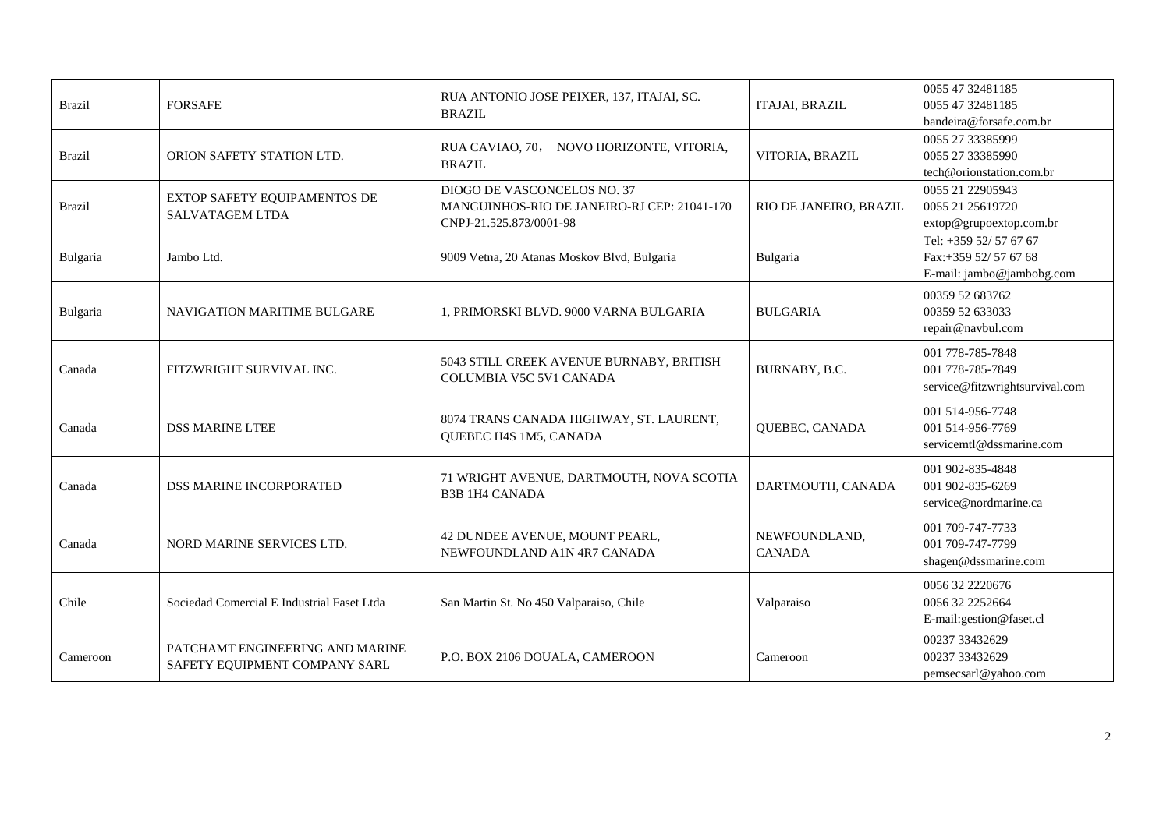| <b>Brazil</b> | <b>FORSAFE</b>                                                   | RUA ANTONIO JOSE PEIXER, 137, ITAJAI, SC.<br><b>BRAZIL</b>                                            | <b>ITAJAI, BRAZIL</b>          | 0055 47 32481185<br>0055 47 32481185<br>bandeira@forsafe.com.br             |
|---------------|------------------------------------------------------------------|-------------------------------------------------------------------------------------------------------|--------------------------------|-----------------------------------------------------------------------------|
| <b>Brazil</b> | ORION SAFETY STATION LTD.                                        | RUA CAVIAO, 70, NOVO HORIZONTE, VITORIA,<br><b>BRAZIL</b>                                             | VITORIA, BRAZIL                | 0055 27 33385999<br>0055 27 33385990<br>tech@orionstation.com.br            |
| <b>Brazil</b> | EXTOP SAFETY EQUIPAMENTOS DE<br><b>SALVATAGEM LTDA</b>           | DIOGO DE VASCONCELOS NO. 37<br>MANGUINHOS-RIO DE JANEIRO-RJ CEP: 21041-170<br>CNPJ-21.525.873/0001-98 | RIO DE JANEIRO, BRAZIL         | 0055 21 22905943<br>0055 21 25619720<br>extop@grupoextop.com.br             |
| Bulgaria      | Jambo Ltd.                                                       | 9009 Vetna, 20 Atanas Moskov Blvd, Bulgaria                                                           | Bulgaria                       | Tel: +359 52/57 67 67<br>Fax:+359 52/ 57 67 68<br>E-mail: jambo@jambobg.com |
| Bulgaria      | <b>NAVIGATION MARITIME BULGARE</b>                               | 1, PRIMORSKI BLVD. 9000 VARNA BULGARIA                                                                | <b>BULGARIA</b>                | 00359 52 683762<br>00359 52 633033<br>repair@navbul.com                     |
| Canada        | FITZWRIGHT SURVIVAL INC.                                         | 5043 STILL CREEK AVENUE BURNABY, BRITISH<br>COLUMBIA V5C 5V1 CANADA                                   | BURNABY, B.C.                  | 001 778-785-7848<br>001 778-785-7849<br>service@fitzwrightsurvival.com      |
| Canada        | <b>DSS MARINE LTEE</b>                                           | 8074 TRANS CANADA HIGHWAY, ST. LAURENT,<br>QUEBEC H4S 1M5, CANADA                                     | QUEBEC, CANADA                 | 001 514-956-7748<br>001 514-956-7769<br>servicemtl@dssmarine.com            |
| Canada        | DSS MARINE INCORPORATED                                          | 71 WRIGHT AVENUE, DARTMOUTH, NOVA SCOTIA<br><b>B3B 1H4 CANADA</b>                                     | DARTMOUTH, CANADA              | 001 902-835-4848<br>001 902-835-6269<br>service@nordmarine.ca               |
| Canada        | NORD MARINE SERVICES LTD.                                        | 42 DUNDEE AVENUE, MOUNT PEARL,<br>NEWFOUNDLAND A1N 4R7 CANADA                                         | NEWFOUNDLAND,<br><b>CANADA</b> | 001 709-747-7733<br>001 709-747-7799<br>shagen@dssmarine.com                |
| Chile         | Sociedad Comercial E Industrial Faset Ltda                       | San Martin St. No 450 Valparaiso, Chile                                                               | Valparaiso                     | 0056 32 2220676<br>0056 32 2252664<br>E-mail:gestion@faset.cl               |
| Cameroon      | PATCHAMT ENGINEERING AND MARINE<br>SAFETY EQUIPMENT COMPANY SARL | P.O. BOX 2106 DOUALA, CAMEROON                                                                        | Cameroon                       | 00237 33432629<br>00237 33432629<br>pemsecsarl@yahoo.com                    |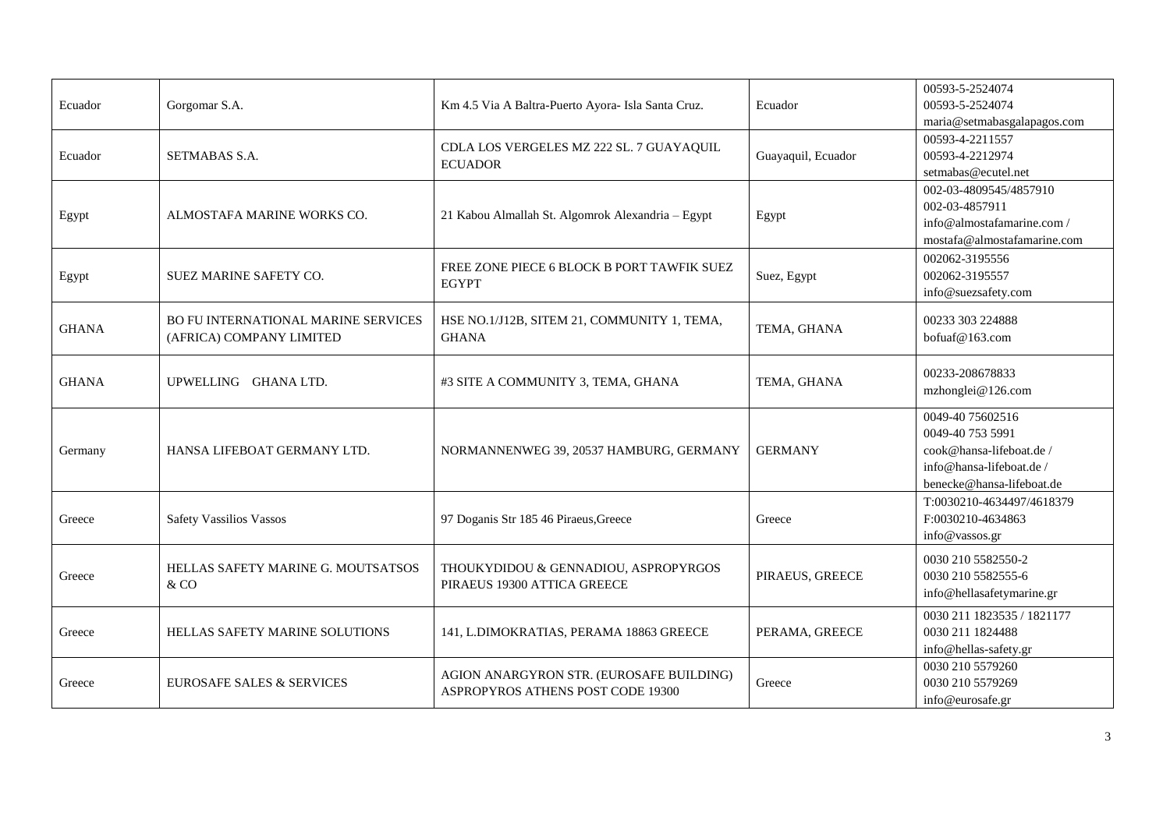|              |                                      |                                                             |                    | 00593-5-2524074                    |
|--------------|--------------------------------------|-------------------------------------------------------------|--------------------|------------------------------------|
| Ecuador      | Gorgomar S.A.                        | Km 4.5 Via A Baltra-Puerto Ayora- Isla Santa Cruz.          | Ecuador            | 00593-5-2524074                    |
|              |                                      |                                                             |                    | maria@setmabasgalapagos.com        |
|              |                                      |                                                             |                    | 00593-4-2211557                    |
| Ecuador      | SETMABAS S.A.                        | CDLA LOS VERGELES MZ 222 SL. 7 GUAYAQUIL                    | Guayaquil, Ecuador | 00593-4-2212974                    |
|              |                                      | <b>ECUADOR</b>                                              |                    | setmabas@ecutel.net                |
|              |                                      |                                                             |                    | 002-03-4809545/4857910             |
| Egypt        | ALMOSTAFA MARINE WORKS CO.           | 21 Kabou Almallah St. Algomrok Alexandria - Egypt           | Egypt              | 002-03-4857911                     |
|              |                                      |                                                             |                    | info@almostafamarine.com /         |
|              |                                      |                                                             |                    | mostafa@almostafamarine.com        |
|              |                                      | FREE ZONE PIECE 6 BLOCK B PORT TAWFIK SUEZ                  |                    | 002062-3195556                     |
| Egypt        | SUEZ MARINE SAFETY CO.               | <b>EGYPT</b>                                                | Suez, Egypt        | 002062-3195557                     |
|              |                                      |                                                             |                    | info@suezsafety.com                |
|              |                                      |                                                             |                    |                                    |
| <b>GHANA</b> | BO FU INTERNATIONAL MARINE SERVICES  | HSE NO.1/J12B, SITEM 21, COMMUNITY 1, TEMA,<br><b>GHANA</b> | TEMA, GHANA        | 00233 303 224888<br>bofuaf@163.com |
|              | (AFRICA) COMPANY LIMITED             |                                                             |                    |                                    |
|              |                                      |                                                             |                    |                                    |
| <b>GHANA</b> | UPWELLING GHANA LTD.                 | #3 SITE A COMMUNITY 3, TEMA, GHANA                          | TEMA, GHANA        | 00233-208678833                    |
|              |                                      |                                                             |                    | mzhonglei@126.com                  |
|              |                                      |                                                             |                    | 0049-40 75602516                   |
|              |                                      | NORMANNENWEG 39, 20537 HAMBURG, GERMANY                     | <b>GERMANY</b>     | 0049-40 753 5991                   |
| Germany      | HANSA LIFEBOAT GERMANY LTD.          |                                                             |                    | cook@hansa-lifeboat.de /           |
|              |                                      |                                                             |                    | info@hansa-lifeboat.de /           |
|              |                                      |                                                             |                    | benecke@hansa-lifeboat.de          |
|              |                                      |                                                             |                    | T:0030210-4634497/4618379          |
| Greece       | <b>Safety Vassilios Vassos</b>       | 97 Doganis Str 185 46 Piraeus, Greece                       | Greece             | F:0030210-4634863                  |
|              |                                      |                                                             |                    | info@vassos.gr                     |
|              |                                      |                                                             |                    | 0030 210 5582550-2                 |
| Greece       | HELLAS SAFETY MARINE G. MOUTSATSOS   | THOUKYDIDOU & GENNADIOU, ASPROPYRGOS                        | PIRAEUS, GREECE    | 0030 210 5582555-6                 |
|              | & CO                                 | PIRAEUS 19300 ATTICA GREECE                                 |                    | info@hellasafetymarine.gr          |
|              |                                      |                                                             |                    |                                    |
|              |                                      |                                                             |                    | 0030 211 1823535 / 1821177         |
| Greece       | HELLAS SAFETY MARINE SOLUTIONS       | 141, L.DIMOKRATIAS, PERAMA 18863 GREECE                     | PERAMA, GREECE     | 0030 211 1824488                   |
|              |                                      |                                                             |                    | info@hellas-safety.gr              |
|              |                                      | AGION ANARGYRON STR. (EUROSAFE BUILDING)                    |                    | 0030 210 5579260                   |
| Greece       | <b>EUROSAFE SALES &amp; SERVICES</b> | ASPROPYROS ATHENS POST CODE 19300                           | Greece             | 0030 210 5579269                   |
|              |                                      |                                                             |                    | info@eurosafe.gr                   |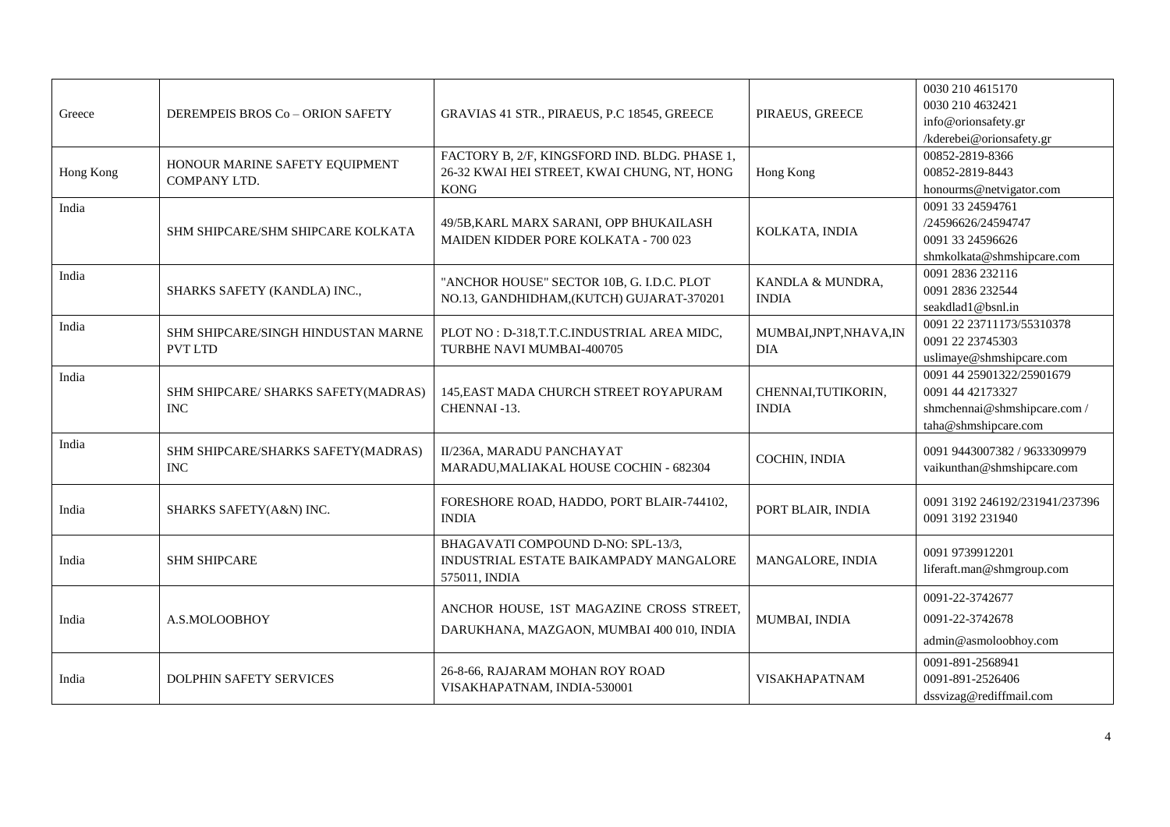| Greece    | DEREMPEIS BROS Co - ORION SAFETY                     | GRAVIAS 41 STR., PIRAEUS, P.C 18545, GREECE                                                                 | PIRAEUS, GREECE                       | 0030 210 4615170<br>0030 210 4632421<br>info@orionsafety.gr<br>/kderebei@orionsafety.gr              |
|-----------|------------------------------------------------------|-------------------------------------------------------------------------------------------------------------|---------------------------------------|------------------------------------------------------------------------------------------------------|
| Hong Kong | HONOUR MARINE SAFETY EQUIPMENT<br>COMPANY LTD.       | FACTORY B, 2/F, KINGSFORD IND. BLDG. PHASE 1,<br>26-32 KWAI HEI STREET, KWAI CHUNG, NT, HONG<br><b>KONG</b> | Hong Kong                             | 00852-2819-8366<br>00852-2819-8443<br>honourms@netvigator.com                                        |
| India     | SHM SHIPCARE/SHM SHIPCARE KOLKATA                    | 49/5B, KARL MARX SARANI, OPP BHUKAILASH<br>MAIDEN KIDDER PORE KOLKATA - 700 023                             | KOLKATA, INDIA                        | 0091 33 24594761<br>/24596626/24594747<br>0091 33 24596626<br>shmkolkata@shmshipcare.com             |
| India     | SHARKS SAFETY (KANDLA) INC.,                         | "ANCHOR HOUSE" SECTOR 10B, G. I.D.C. PLOT<br>NO.13, GANDHIDHAM, (KUTCH) GUJARAT-370201                      | KANDLA & MUNDRA,<br><b>INDIA</b>      | 0091 2836 232116<br>0091 2836 232544<br>seakdlad1@bsnl.in                                            |
| India     | SHM SHIPCARE/SINGH HINDUSTAN MARNE<br><b>PVT LTD</b> | PLOT NO: D-318, T.T.C. INDUSTRIAL AREA MIDC,<br>TURBHE NAVI MUMBAI-400705                                   | MUMBAI, JNPT, NHAVA, IN<br><b>DIA</b> | 0091 22 23711173/55310378<br>0091 22 23745303<br>uslimaye@shmshipcare.com                            |
| India     | SHM SHIPCARE/ SHARKS SAFETY(MADRAS)<br><b>INC</b>    | 145, EAST MADA CHURCH STREET ROYAPURAM<br>CHENNAI-13.                                                       | CHENNAI, TUTIKORIN,<br><b>INDIA</b>   | 0091 44 25901322/25901679<br>0091 44 42173327<br>shmchennai@shmshipcare.com/<br>taha@shmshipcare.com |
| India     | SHM SHIPCARE/SHARKS SAFETY(MADRAS)<br><b>INC</b>     | II/236A, MARADU PANCHAYAT<br>MARADU, MALIAKAL HOUSE COCHIN - 682304                                         | COCHIN, INDIA                         | 0091 9443007382 / 9633309979<br>vaikunthan@shmshipcare.com                                           |
| India     | SHARKS SAFETY(A&N) INC.                              | FORESHORE ROAD, HADDO, PORT BLAIR-744102,<br><b>INDIA</b>                                                   | PORT BLAIR, INDIA                     | 0091 3192 246192/231941/237396<br>0091 3192 231940                                                   |
| India     | <b>SHM SHIPCARE</b>                                  | BHAGAVATI COMPOUND D-NO: SPL-13/3,<br>INDUSTRIAL ESTATE BAIKAMPADY MANGALORE<br>575011, INDIA               | MANGALORE, INDIA                      | 0091 9739912201<br>liferaft.man@shmgroup.com                                                         |
| India     | A.S.MOLOOBHOY                                        | ANCHOR HOUSE, 1ST MAGAZINE CROSS STREET,<br>DARUKHANA, MAZGAON, MUMBAI 400 010, INDIA                       | MUMBAI, INDIA                         | 0091-22-3742677<br>0091-22-3742678<br>admin@asmoloobhoy.com                                          |
| India     | <b>DOLPHIN SAFETY SERVICES</b>                       | 26-8-66, RAJARAM MOHAN ROY ROAD<br>VISAKHAPATNAM, INDIA-530001                                              | <b>VISAKHAPATNAM</b>                  | 0091-891-2568941<br>0091-891-2526406<br>dssvizag@rediffmail.com                                      |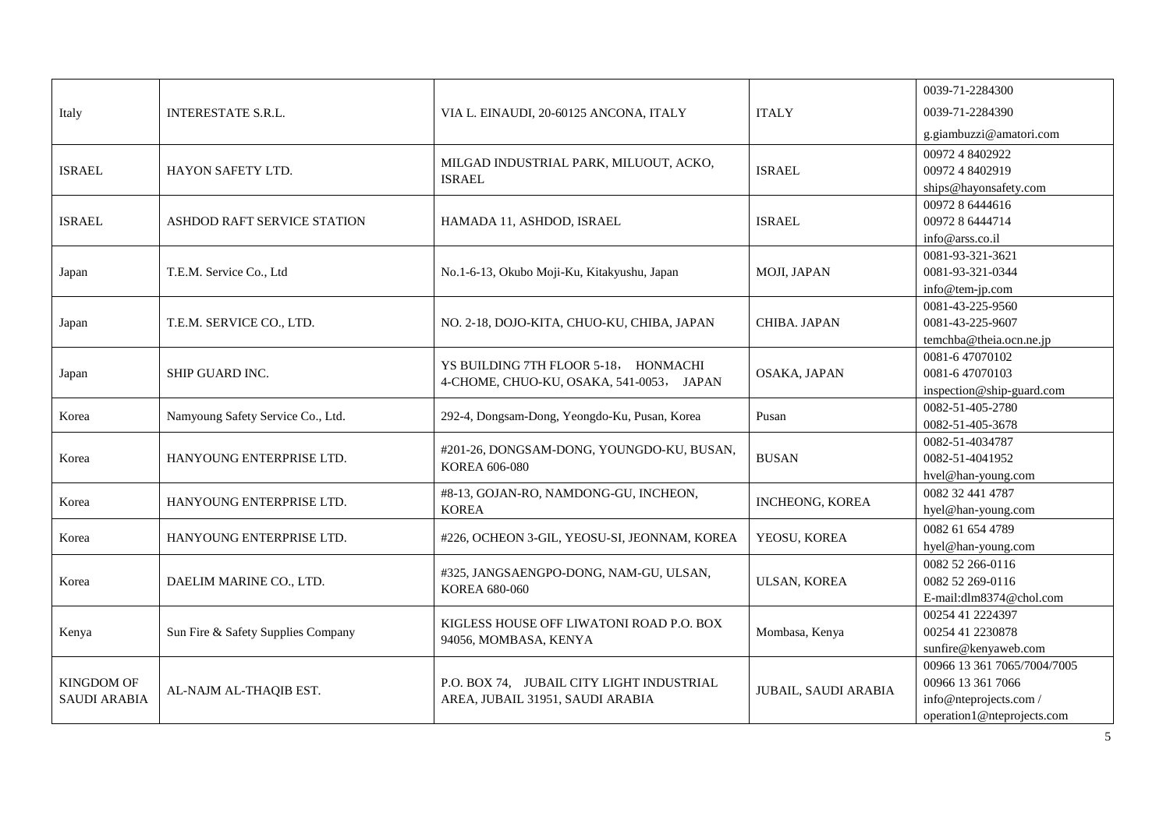|                     |                                    |                                                                                  | 0039-71-2284300             |                             |
|---------------------|------------------------------------|----------------------------------------------------------------------------------|-----------------------------|-----------------------------|
| Italy               | <b>INTERESTATE S.R.L.</b>          | VIA L. EINAUDI, 20-60125 ANCONA, ITALY                                           | <b>ITALY</b>                | 0039-71-2284390             |
|                     |                                    |                                                                                  |                             | g.giambuzzi@amatori.com     |
|                     |                                    |                                                                                  |                             | 0097248402922               |
| <b>ISRAEL</b>       | <b>HAYON SAFETY LTD.</b>           | MILGAD INDUSTRIAL PARK, MILUOUT, ACKO,                                           | <b>ISRAEL</b>               | 0097248402919               |
|                     |                                    | <b>ISRAEL</b>                                                                    |                             | ships@hayonsafety.com       |
|                     |                                    |                                                                                  |                             | 0097286444616               |
| <b>ISRAEL</b>       | ASHDOD RAFT SERVICE STATION        | HAMADA 11, ASHDOD, ISRAEL                                                        | <b>ISRAEL</b>               | 0097286444714               |
|                     |                                    |                                                                                  |                             | info@arss.co.il             |
|                     |                                    |                                                                                  |                             | 0081-93-321-3621            |
| Japan               | T.E.M. Service Co., Ltd            | No.1-6-13, Okubo Moji-Ku, Kitakyushu, Japan                                      | MOJI, JAPAN                 | 0081-93-321-0344            |
|                     |                                    |                                                                                  |                             | info@tem-jp.com             |
|                     |                                    |                                                                                  |                             | 0081-43-225-9560            |
| Japan               | T.E.M. SERVICE CO., LTD.           | NO. 2-18, DOJO-KITA, CHUO-KU, CHIBA, JAPAN                                       | CHIBA. JAPAN                | 0081-43-225-9607            |
|                     |                                    |                                                                                  |                             | temchba@theia.ocn.ne.jp     |
|                     |                                    |                                                                                  |                             | 0081-647070102              |
| Japan               | SHIP GUARD INC.                    | YS BUILDING 7TH FLOOR 5-18, HONMACHI<br>4-CHOME, CHUO-KU, OSAKA, 541-0053, JAPAN | OSAKA, JAPAN                | 0081-6 47070103             |
|                     |                                    |                                                                                  |                             | inspection@ship-guard.com   |
|                     |                                    |                                                                                  |                             | 0082-51-405-2780            |
| Korea               | Namyoung Safety Service Co., Ltd.  | 292-4, Dongsam-Dong, Yeongdo-Ku, Pusan, Korea                                    | Pusan                       | 0082-51-405-3678            |
|                     |                                    | #201-26, DONGSAM-DONG, YOUNGDO-KU, BUSAN,<br>KOREA 606-080                       | <b>BUSAN</b>                | 0082-51-4034787             |
| Korea               | HANYOUNG ENTERPRISE LTD.           |                                                                                  |                             | 0082-51-4041952             |
|                     |                                    |                                                                                  |                             | hvel@han-young.com          |
| Korea               | HANYOUNG ENTERPRISE LTD.           | #8-13, GOJAN-RO, NAMDONG-GU, INCHEON,                                            | <b>INCHEONG, KOREA</b>      | 0082 32 441 4787            |
|                     |                                    | <b>KOREA</b>                                                                     |                             | hyel@han-young.com          |
|                     |                                    |                                                                                  |                             | 0082 61 654 4789            |
| Korea               | HANYOUNG ENTERPRISE LTD.           | #226, OCHEON 3-GIL, YEOSU-SI, JEONNAM, KOREA                                     | YEOSU, KOREA                | hyel@han-young.com          |
|                     |                                    |                                                                                  |                             | 0082 52 266-0116            |
| Korea               | DAELIM MARINE CO., LTD.            | #325, JANGSAENGPO-DONG, NAM-GU, ULSAN,                                           | <b>ULSAN, KOREA</b>         | 0082 52 269-0116            |
|                     |                                    | KOREA 680-060                                                                    |                             | E-mail:dlm8374@chol.com     |
|                     |                                    |                                                                                  |                             | 00254 41 2224397            |
| Kenya               | Sun Fire & Safety Supplies Company | KIGLESS HOUSE OFF LIWATONI ROAD P.O. BOX                                         | Mombasa, Kenya              | 00254 41 2230878            |
|                     |                                    | 94056, MOMBASA, KENYA                                                            |                             | sunfire@kenyaweb.com        |
|                     |                                    |                                                                                  |                             | 00966 13 361 7065/7004/7005 |
| <b>KINGDOM OF</b>   |                                    | P.O. BOX 74. JUBAIL CITY LIGHT INDUSTRIAL<br>AREA, JUBAIL 31951, SAUDI ARABIA    | <b>JUBAIL, SAUDI ARABIA</b> | 00966 13 361 7066           |
| <b>SAUDI ARABIA</b> | AL-NAJM AL-THAQIB EST.             |                                                                                  |                             | info@nteprojects.com /      |
|                     |                                    |                                                                                  |                             | operation1@nteprojects.com  |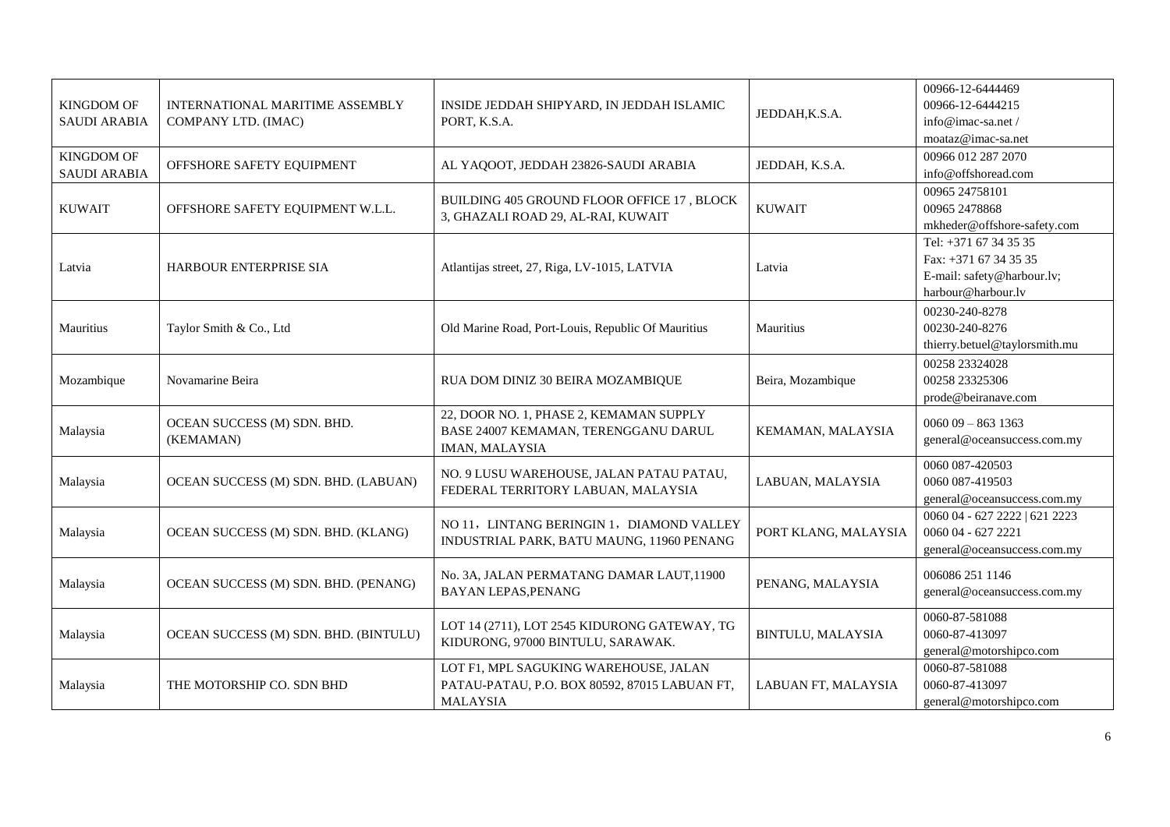| <b>KINGDOM OF</b><br><b>SAUDI ARABIA</b> | <b>INTERNATIONAL MARITIME ASSEMBLY</b><br>COMPANY LTD. (IMAC) | INSIDE JEDDAH SHIPYARD, IN JEDDAH ISLAMIC<br>PORT, K.S.A.                                                 | JEDDAH, K.S.A.       | 00966-12-6444469<br>00966-12-6444215<br>info@imac-sa.net/<br>moataz@imac-sa.net                      |
|------------------------------------------|---------------------------------------------------------------|-----------------------------------------------------------------------------------------------------------|----------------------|------------------------------------------------------------------------------------------------------|
| <b>KINGDOM OF</b><br><b>SAUDI ARABIA</b> | OFFSHORE SAFETY EQUIPMENT                                     | AL YAQOOT, JEDDAH 23826-SAUDI ARABIA                                                                      | JEDDAH, K.S.A.       | 00966 012 287 2070<br>info@offshoread.com                                                            |
| <b>KUWAIT</b>                            | OFFSHORE SAFETY EQUIPMENT W.L.L.                              | BUILDING 405 GROUND FLOOR OFFICE 17, BLOCK<br>3, GHAZALI ROAD 29, AL-RAI, KUWAIT                          | <b>KUWAIT</b>        | 00965 24758101<br>00965 2478868<br>mkheder@offshore-safety.com                                       |
| Latvia                                   | HARBOUR ENTERPRISE SIA                                        | Atlantijas street, 27, Riga, LV-1015, LATVIA                                                              | Latvia               | Tel: +371 67 34 35 35<br>Fax: $+371$ 67 34 35 35<br>E-mail: safety@harbour.lv;<br>harbour@harbour.lv |
| Mauritius                                | Taylor Smith & Co., Ltd                                       | Old Marine Road, Port-Louis, Republic Of Mauritius                                                        | Mauritius            | 00230-240-8278<br>00230-240-8276<br>thierry.betuel@taylorsmith.mu                                    |
| Mozambique                               | Novamarine Beira                                              | RUA DOM DINIZ 30 BEIRA MOZAMBIQUE                                                                         | Beira, Mozambique    | 00258 23324028<br>00258 23325306<br>prode@beiranave.com                                              |
| Malaysia                                 | OCEAN SUCCESS (M) SDN. BHD.<br>(KEMAMAN)                      | 22, DOOR NO. 1, PHASE 2, KEMAMAN SUPPLY<br>BASE 24007 KEMAMAN, TERENGGANU DARUL<br>IMAN, MALAYSIA         | KEMAMAN, MALAYSIA    | $006009 - 8631363$<br>general@oceansuccess.com.my                                                    |
| Malaysia                                 | OCEAN SUCCESS (M) SDN. BHD. (LABUAN)                          | NO. 9 LUSU WAREHOUSE, JALAN PATAU PATAU,<br>FEDERAL TERRITORY LABUAN, MALAYSIA                            | LABUAN, MALAYSIA     | 0060 087-420503<br>0060 087-419503<br>general@oceansuccess.com.my                                    |
| Malaysia                                 | OCEAN SUCCESS (M) SDN. BHD. (KLANG)                           | NO 11, LINTANG BERINGIN 1, DIAMOND VALLEY<br>INDUSTRIAL PARK, BATU MAUNG, 11960 PENANG                    | PORT KLANG, MALAYSIA | 0060 04 - 627 2222   621 2223<br>0060 04 - 627 2221<br>general@oceansuccess.com.my                   |
| Malaysia                                 | OCEAN SUCCESS (M) SDN. BHD. (PENANG)                          | No. 3A, JALAN PERMATANG DAMAR LAUT, 11900<br><b>BAYAN LEPAS, PENANG</b>                                   | PENANG, MALAYSIA     | 006086 251 1146<br>general@oceansuccess.com.my                                                       |
| Malaysia                                 | OCEAN SUCCESS (M) SDN. BHD. (BINTULU)                         | LOT 14 (2711), LOT 2545 KIDURONG GATEWAY, TG<br>KIDURONG, 97000 BINTULU, SARAWAK.                         | BINTULU, MALAYSIA    | 0060-87-581088<br>0060-87-413097<br>general@motorshipco.com                                          |
| Malaysia                                 | THE MOTORSHIP CO. SDN BHD                                     | LOT F1, MPL SAGUKING WAREHOUSE, JALAN<br>PATAU-PATAU, P.O. BOX 80592, 87015 LABUAN FT,<br><b>MALAYSIA</b> | LABUAN FT, MALAYSIA  | 0060-87-581088<br>0060-87-413097<br>general@motorshipco.com                                          |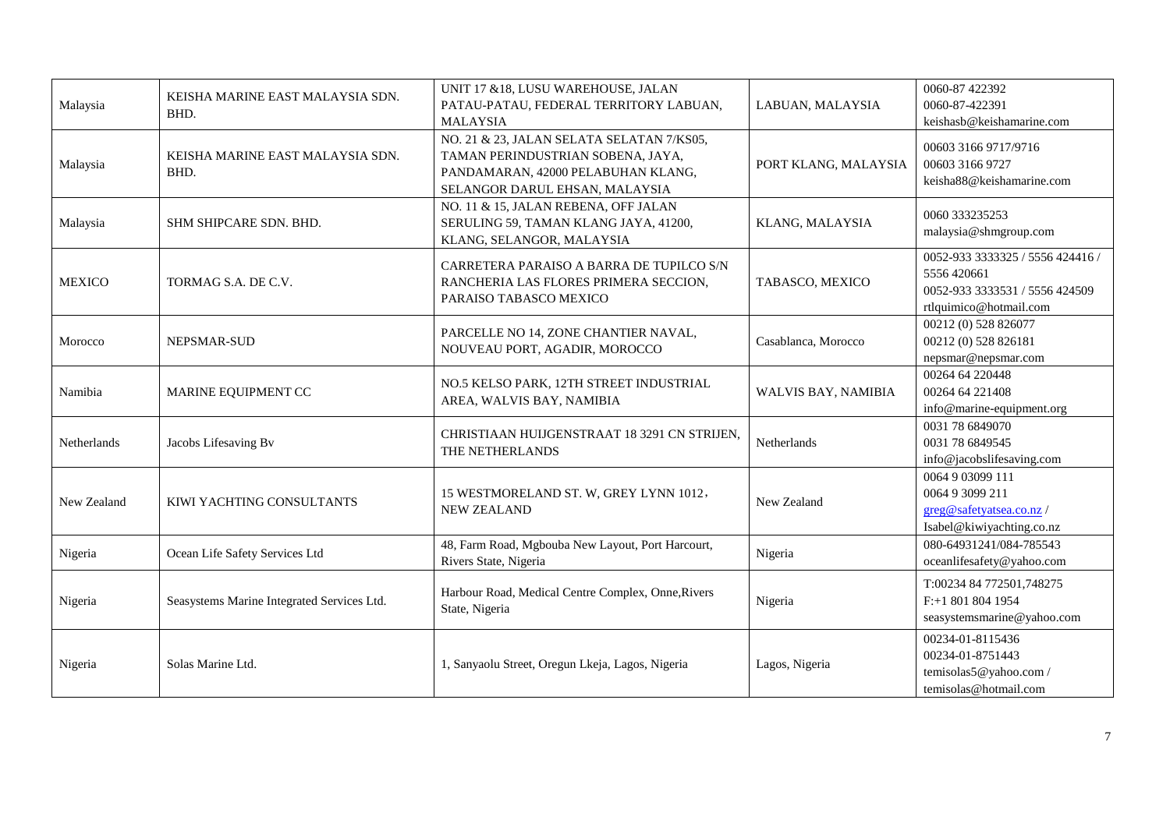| Malaysia      | KEISHA MARINE EAST MALAYSIA SDN.<br>BHD.   | UNIT 17 & 18, LUSU WAREHOUSE, JALAN<br>PATAU-PATAU, FEDERAL TERRITORY LABUAN,<br><b>MALAYSIA</b>                                                       | LABUAN, MALAYSIA           | 0060-87 422392<br>0060-87-422391<br>keishasb@keishamarine.com                                               |
|---------------|--------------------------------------------|--------------------------------------------------------------------------------------------------------------------------------------------------------|----------------------------|-------------------------------------------------------------------------------------------------------------|
| Malaysia      | KEISHA MARINE EAST MALAYSIA SDN.<br>BHD.   | NO. 21 & 23, JALAN SELATA SELATAN 7/KS05,<br>TAMAN PERINDUSTRIAN SOBENA, JAYA,<br>PANDAMARAN, 42000 PELABUHAN KLANG,<br>SELANGOR DARUL EHSAN, MALAYSIA | PORT KLANG, MALAYSIA       | 00603 3166 9717/9716<br>00603 3166 9727<br>keisha88@keishamarine.com                                        |
| Malaysia      | SHM SHIPCARE SDN. BHD.                     | NO. 11 & 15, JALAN REBENA, OFF JALAN<br>SERULING 59, TAMAN KLANG JAYA, 41200,<br>KLANG, SELANGOR, MALAYSIA                                             | <b>KLANG, MALAYSIA</b>     | 0060 333235253<br>malaysia@shmgroup.com                                                                     |
| <b>MEXICO</b> | TORMAG S.A. DE C.V.                        | CARRETERA PARAISO A BARRA DE TUPILCO S/N<br>RANCHERIA LAS FLORES PRIMERA SECCION,<br>PARAISO TABASCO MEXICO                                            | TABASCO, MEXICO            | 0052-933 3333325 / 5556 424416 /<br>5556 420661<br>0052-933 3333531 / 5556 424509<br>rtlquimico@hotmail.com |
| Morocco       | NEPSMAR-SUD                                | PARCELLE NO 14, ZONE CHANTIER NAVAL,<br>NOUVEAU PORT, AGADIR, MOROCCO                                                                                  | Casablanca, Morocco        | 00212 (0) 528 826077<br>00212 (0) 528 826181<br>nepsmar@nepsmar.com                                         |
| Namibia       | MARINE EQUIPMENT CC                        | NO.5 KELSO PARK, 12TH STREET INDUSTRIAL<br>AREA, WALVIS BAY, NAMIBIA                                                                                   | <b>WALVIS BAY, NAMIBIA</b> | 00264 64 220448<br>00264 64 221408<br>info@marine-equipment.org                                             |
| Netherlands   | Jacobs Lifesaving Bv                       | CHRISTIAAN HUIJGENSTRAAT 18 3291 CN STRIJEN,<br>THE NETHERLANDS                                                                                        | Netherlands                | 0031 78 6849070<br>0031 78 6849545<br>info@jacobslifesaving.com                                             |
| New Zealand   | KIWI YACHTING CONSULTANTS                  | 15 WESTMORELAND ST. W, GREY LYNN 1012,<br><b>NEW ZEALAND</b>                                                                                           | New Zealand                | 0064 9 03099 111<br>0064 9 3099 211<br>greg@safetyatsea.co.nz/<br>Isabel@kiwiyachting.co.nz                 |
| Nigeria       | Ocean Life Safety Services Ltd             | 48, Farm Road, Mgbouba New Layout, Port Harcourt,<br>Rivers State, Nigeria                                                                             | Nigeria                    | 080-64931241/084-785543<br>oceanlifesafety@yahoo.com                                                        |
| Nigeria       | Seasystems Marine Integrated Services Ltd. | Harbour Road, Medical Centre Complex, Onne, Rivers<br>State, Nigeria                                                                                   | Nigeria                    | T:00234 84 772501,748275<br>F:+1 801 804 1954<br>seasystemsmarine@yahoo.com                                 |
| Nigeria       | Solas Marine Ltd.                          | 1, Sanyaolu Street, Oregun Lkeja, Lagos, Nigeria                                                                                                       | Lagos, Nigeria             | 00234-01-8115436<br>00234-01-8751443<br>temisolas5@yahoo.com/<br>temisolas@hotmail.com                      |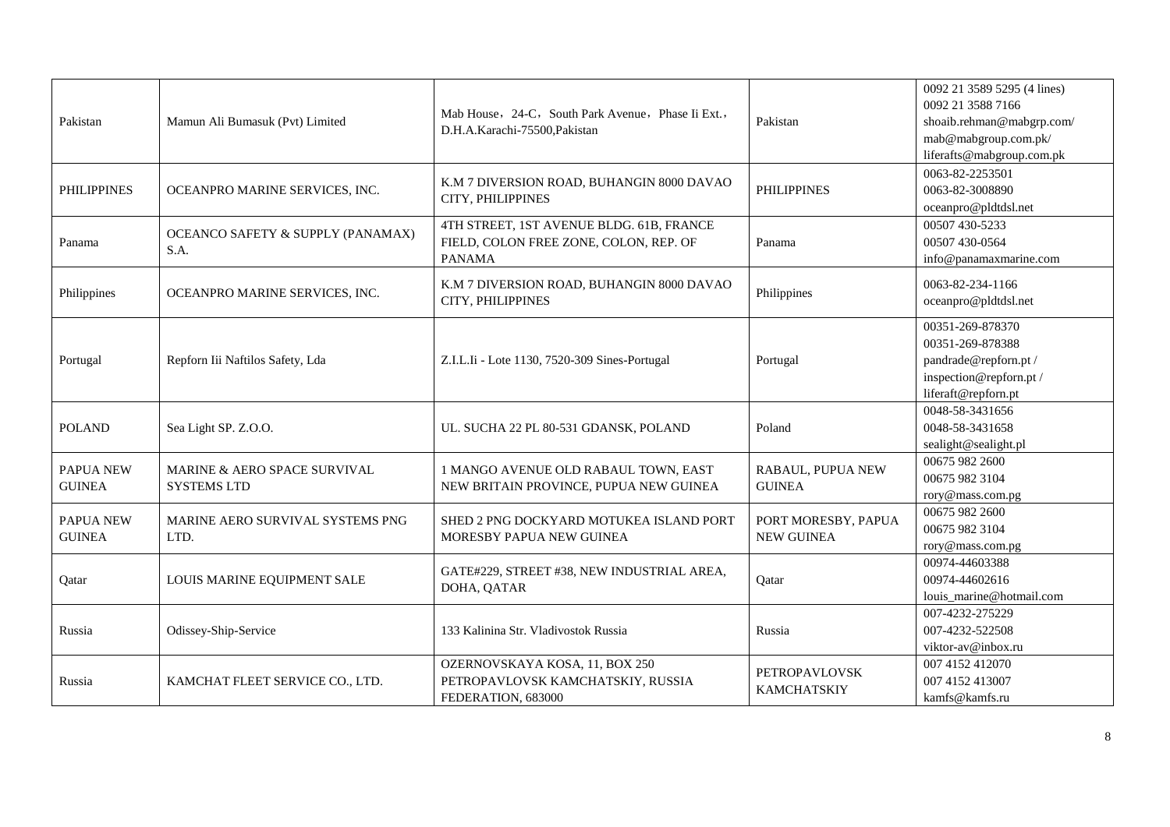| Pakistan                          | Mamun Ali Bumasuk (Pvt) Limited                    | Mab House, 24-C, South Park Avenue, Phase Ii Ext.,<br>D.H.A.Karachi-75500, Pakistan                 | Pakistan                                 | 0092 21 3589 5295 (4 lines)<br>0092 21 3588 7166<br>shoaib.rehman@mabgrp.com/<br>mab@mabgroup.com.pk/<br>liferafts@mabgroup.com.pk |
|-----------------------------------|----------------------------------------------------|-----------------------------------------------------------------------------------------------------|------------------------------------------|------------------------------------------------------------------------------------------------------------------------------------|
| <b>PHILIPPINES</b>                | OCEANPRO MARINE SERVICES, INC.                     | K.M 7 DIVERSION ROAD, BUHANGIN 8000 DAVAO<br>CITY, PHILIPPINES                                      | <b>PHILIPPINES</b>                       | 0063-82-2253501<br>0063-82-3008890<br>oceanpro@pldtdsl.net                                                                         |
| Panama                            | OCEANCO SAFETY & SUPPLY (PANAMAX)<br>S.A.          | 4TH STREET, 1ST AVENUE BLDG. 61B, FRANCE<br>FIELD, COLON FREE ZONE, COLON, REP. OF<br><b>PANAMA</b> | Panama                                   | 00507 430-5233<br>00507 430-0564<br>info@panamaxmarine.com                                                                         |
| Philippines                       | OCEANPRO MARINE SERVICES, INC.                     | K.M 7 DIVERSION ROAD, BUHANGIN 8000 DAVAO<br>CITY, PHILIPPINES                                      | Philippines                              | 0063-82-234-1166<br>oceanpro@pldtdsl.net                                                                                           |
| Portugal                          | Repforn Iii Naftilos Safety, Lda                   | Z.I.L.Ii - Lote 1130, 7520-309 Sines-Portugal                                                       | Portugal                                 | 00351-269-878370<br>00351-269-878388<br>pandrade@repforn.pt/<br>inspection@repforn.pt /<br>liferaft@repforn.pt                     |
| <b>POLAND</b>                     | Sea Light SP. Z.O.O.                               | UL. SUCHA 22 PL 80-531 GDANSK, POLAND                                                               | Poland                                   | 0048-58-3431656<br>0048-58-3431658<br>sealight@sealight.pl                                                                         |
| <b>PAPUA NEW</b><br><b>GUINEA</b> | MARINE & AERO SPACE SURVIVAL<br><b>SYSTEMS LTD</b> | 1 MANGO AVENUE OLD RABAUL TOWN, EAST<br>NEW BRITAIN PROVINCE, PUPUA NEW GUINEA                      | RABAUL, PUPUA NEW<br><b>GUINEA</b>       | 00675 982 2600<br>00675 982 3104<br>rory@mass.com.pg                                                                               |
| PAPUA NEW<br><b>GUINEA</b>        | MARINE AERO SURVIVAL SYSTEMS PNG<br>LTD.           | SHED 2 PNG DOCKYARD MOTUKEA ISLAND PORT<br>MORESBY PAPUA NEW GUINEA                                 | PORT MORESBY, PAPUA<br><b>NEW GUINEA</b> | 00675 982 2600<br>00675 982 3104<br>rory@mass.com.pg                                                                               |
| Qatar                             | LOUIS MARINE EQUIPMENT SALE                        | GATE#229, STREET #38, NEW INDUSTRIAL AREA,<br>DOHA, QATAR                                           | Qatar                                    | 00974-44603388<br>00974-44602616<br>louis_marine@hotmail.com                                                                       |
| Russia                            | Odissey-Ship-Service                               | 133 Kalinina Str. Vladivostok Russia                                                                | Russia                                   | 007-4232-275229<br>007-4232-522508<br>viktor-av@inbox.ru                                                                           |
| Russia                            | KAMCHAT FLEET SERVICE CO., LTD.                    | OZERNOVSKAYA KOSA, 11, BOX 250<br>PETROPAVLOVSK KAMCHATSKIY, RUSSIA<br>FEDERATION, 683000           | PETROPAVLOVSK<br><b>KAMCHATSKIY</b>      | 007 4152 412070<br>007 4152 413007<br>kamfs@kamfs.ru                                                                               |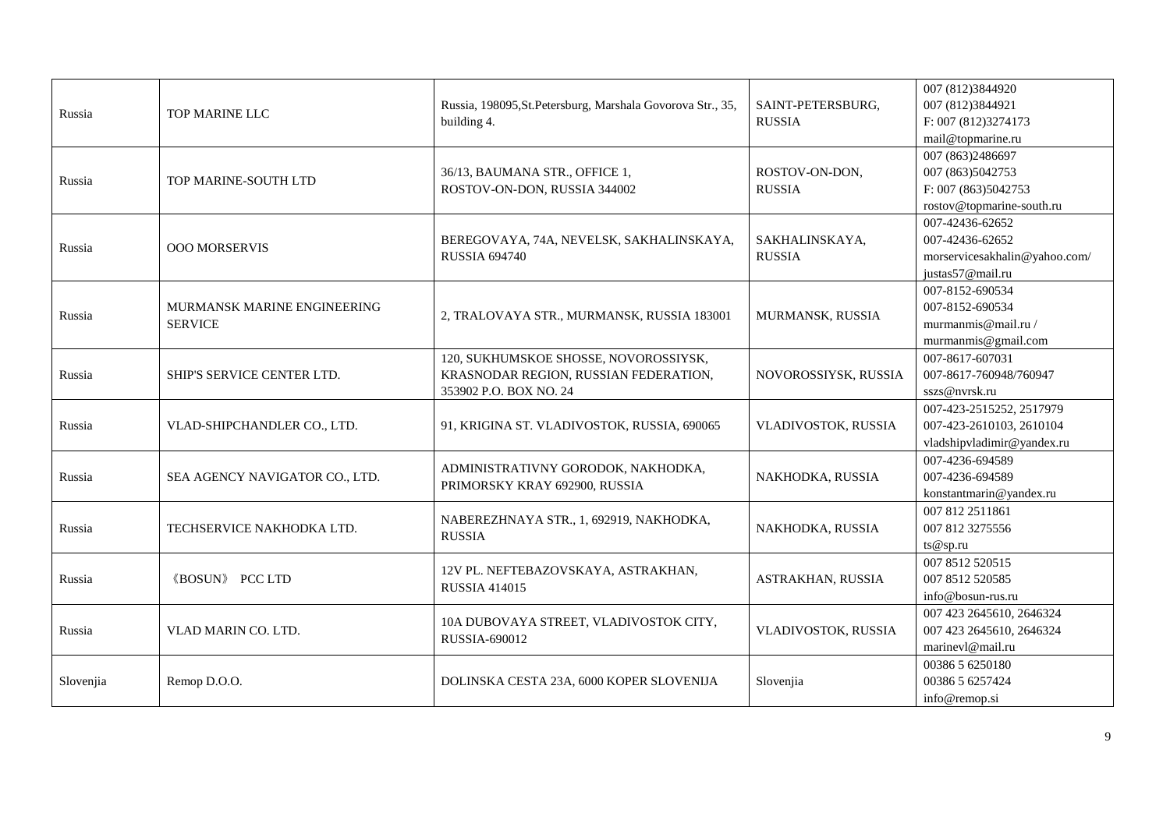| Russia    | TOP MARINE LLC                                | Russia, 198095, St. Petersburg, Marshala Govorova Str., 35,<br>building 4.                               | SAINT-PETERSBURG,<br><b>RUSSIA</b> | 007 (812)3844920<br>007 (812) 3844921<br>F: 007 (812)3274173<br>mail@topmarine.ru          |
|-----------|-----------------------------------------------|----------------------------------------------------------------------------------------------------------|------------------------------------|--------------------------------------------------------------------------------------------|
| Russia    | TOP MARINE-SOUTH LTD                          | 36/13, BAUMANA STR., OFFICE 1,<br>ROSTOV-ON-DON, RUSSIA 344002                                           | ROSTOV-ON-DON,<br><b>RUSSIA</b>    | 007 (863) 2486697<br>007 (863) 5042753<br>F: 007 (863)5042753<br>rostov@topmarine-south.ru |
| Russia    | <b>OOO MORSERVIS</b>                          | BEREGOVAYA, 74A, NEVELSK, SAKHALINSKAYA,<br><b>RUSSIA 694740</b>                                         | SAKHALINSKAYA,<br><b>RUSSIA</b>    | 007-42436-62652<br>007-42436-62652<br>morservicesakhalin@yahoo.com/<br>justas57@mail.ru    |
| Russia    | MURMANSK MARINE ENGINEERING<br><b>SERVICE</b> | 2, TRALOVAYA STR., MURMANSK, RUSSIA 183001                                                               | MURMANSK, RUSSIA                   | 007-8152-690534<br>007-8152-690534<br>murmanmis@mail.ru/<br>murmanmis@gmail.com            |
| Russia    | SHIP'S SERVICE CENTER LTD.                    | 120, SUKHUMSKOE SHOSSE, NOVOROSSIYSK,<br>KRASNODAR REGION, RUSSIAN FEDERATION,<br>353902 P.O. BOX NO. 24 | NOVOROSSIYSK, RUSSIA               | 007-8617-607031<br>007-8617-760948/760947<br>sszs@nvrsk.ru                                 |
| Russia    | VLAD-SHIPCHANDLER CO., LTD.                   | 91, KRIGINA ST. VLADIVOSTOK, RUSSIA, 690065                                                              | VLADIVOSTOK, RUSSIA                | 007-423-2515252, 2517979<br>007-423-2610103, 2610104<br>vladshipvladimir@yandex.ru         |
| Russia    | SEA AGENCY NAVIGATOR CO., LTD.                | ADMINISTRATIVNY GORODOK, NAKHODKA,<br>PRIMORSKY KRAY 692900, RUSSIA                                      | NAKHODKA, RUSSIA                   | 007-4236-694589<br>007-4236-694589<br>konstantmarin@yandex.ru                              |
| Russia    | TECHSERVICE NAKHODKA LTD.                     | NABEREZHNAYA STR., 1, 692919, NAKHODKA,<br><b>RUSSIA</b>                                                 | NAKHODKA, RUSSIA                   | 007 812 2511861<br>007 812 3275556<br>ts@sp.ru                                             |
| Russia    | <b>《BOSUN》 PCC LTD</b>                        | 12V PL. NEFTEBAZOVSKAYA, ASTRAKHAN,<br><b>RUSSIA 414015</b>                                              | ASTRAKHAN, RUSSIA                  | 007 8512 520515<br>007 8512 520585<br>info@bosun-rus.ru                                    |
| Russia    | VLAD MARIN CO. LTD.                           | 10A DUBOVAYA STREET, VLADIVOSTOK CITY,<br>RUSSIA-690012                                                  | VLADIVOSTOK, RUSSIA                | 007 423 2645610, 2646324<br>007 423 2645610, 2646324<br>marinevl@mail.ru                   |
| Slovenjia | Remop D.O.O.                                  | DOLINSKA CESTA 23A, 6000 KOPER SLOVENIJA                                                                 | Slovenjia                          | 00386 5 6250180<br>00386 5 6257424<br>info@remop.si                                        |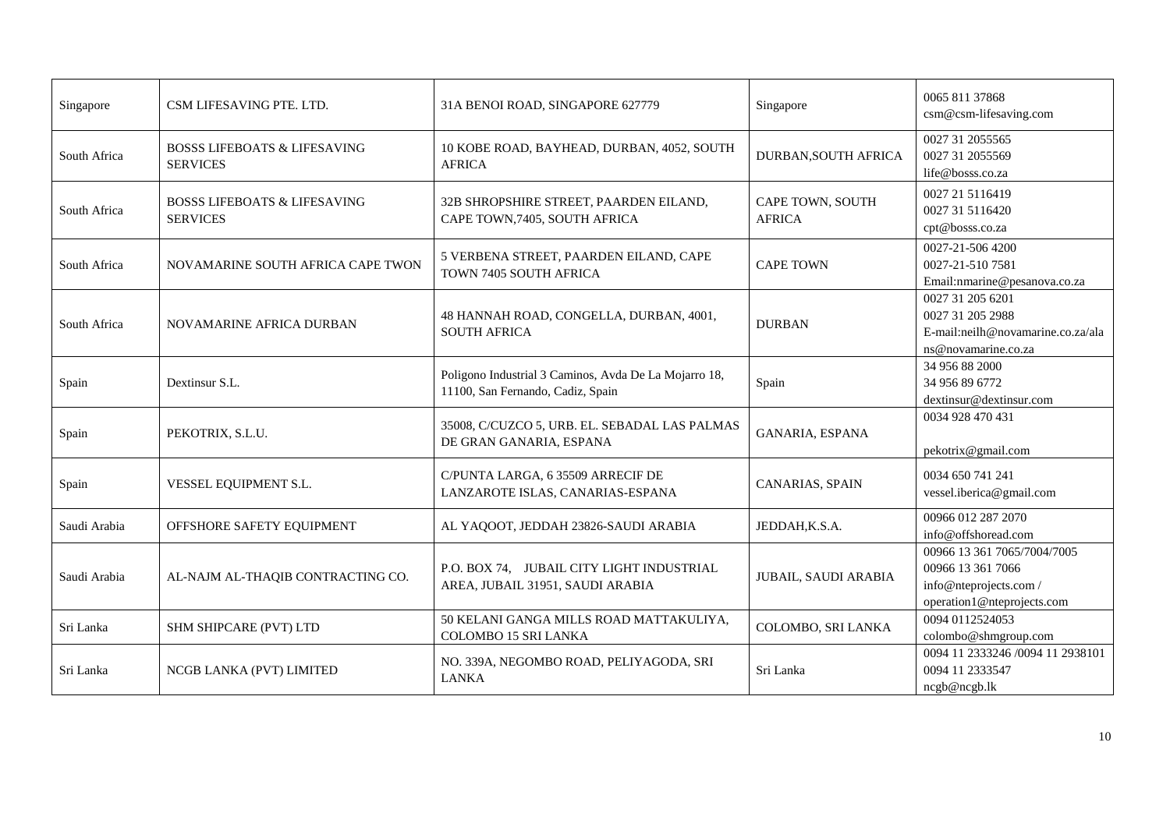| Singapore    | CSM LIFESAVING PTE. LTD.                                   | 31A BENOI ROAD, SINGAPORE 627779                                                           | Singapore                         | 0065 811 37868<br>csm@csm-lifesaving.com                                                                 |
|--------------|------------------------------------------------------------|--------------------------------------------------------------------------------------------|-----------------------------------|----------------------------------------------------------------------------------------------------------|
| South Africa | <b>BOSSS LIFEBOATS &amp; LIFESAVING</b><br><b>SERVICES</b> | 10 KOBE ROAD, BAYHEAD, DURBAN, 4052, SOUTH<br><b>AFRICA</b>                                | DURBAN, SOUTH AFRICA              | 0027 31 2055565<br>0027 31 2055569<br>life@bosss.co.za                                                   |
| South Africa | <b>BOSSS LIFEBOATS &amp; LIFESAVING</b><br><b>SERVICES</b> | 32B SHROPSHIRE STREET, PAARDEN EILAND,<br>CAPE TOWN, 7405, SOUTH AFRICA                    | CAPE TOWN, SOUTH<br><b>AFRICA</b> | 0027 21 5116419<br>0027 31 5116420<br>cpt@bosss.co.za                                                    |
| South Africa | NOVAMARINE SOUTH AFRICA CAPE TWON                          | 5 VERBENA STREET, PAARDEN EILAND, CAPE<br>TOWN 7405 SOUTH AFRICA                           | <b>CAPE TOWN</b>                  | 0027-21-506 4200<br>0027-21-510 7581<br>Email:nmarine@pesanova.co.za                                     |
| South Africa | NOVAMARINE AFRICA DURBAN                                   | 48 HANNAH ROAD, CONGELLA, DURBAN, 4001,<br><b>SOUTH AFRICA</b>                             | <b>DURBAN</b>                     | 0027 31 205 6201<br>0027 31 205 2988<br>E-mail:neilh@novamarine.co.za/ala<br>ns@novamarine.co.za         |
| Spain        | Dextinsur S.L.                                             | Poligono Industrial 3 Caminos, Avda De La Mojarro 18,<br>11100, San Fernando, Cadiz, Spain | Spain                             | 34 956 88 2000<br>34 956 89 6772<br>dextinsur@dextinsur.com                                              |
| Spain        | PEKOTRIX, S.L.U.                                           | 35008, C/CUZCO 5, URB. EL. SEBADAL LAS PALMAS<br>DE GRAN GANARIA, ESPANA                   | GANARIA, ESPANA                   | 0034 928 470 431<br>pekotrix@gmail.com                                                                   |
| Spain        | VESSEL EQUIPMENT S.L.                                      | C/PUNTA LARGA, 6 35509 ARRECIF DE<br>LANZAROTE ISLAS, CANARIAS-ESPANA                      | CANARIAS, SPAIN                   | 0034 650 741 241<br>vessel.iberica@gmail.com                                                             |
| Saudi Arabia | OFFSHORE SAFETY EQUIPMENT                                  | AL YAQOOT, JEDDAH 23826-SAUDI ARABIA                                                       | JEDDAH.K.S.A.                     | 00966 012 287 2070<br>info@offshoread.com                                                                |
| Saudi Arabia | AL-NAJM AL-THAQIB CONTRACTING CO.                          | P.O. BOX 74, JUBAIL CITY LIGHT INDUSTRIAL<br>AREA, JUBAIL 31951, SAUDI ARABIA              | JUBAIL, SAUDI ARABIA              | 00966 13 361 7065/7004/7005<br>00966 13 361 7066<br>info@nteprojects.com /<br>operation1@nteprojects.com |
| Sri Lanka    | SHM SHIPCARE (PVT) LTD                                     | 50 KELANI GANGA MILLS ROAD MATTAKULIYA,<br>COLOMBO 15 SRI LANKA                            | COLOMBO, SRI LANKA                | 0094 0112524053<br>colombo@shmgroup.com                                                                  |
| Sri Lanka    | NCGB LANKA (PVT) LIMITED                                   | NO. 339A, NEGOMBO ROAD, PELIYAGODA, SRI<br><b>LANKA</b>                                    | Sri Lanka                         | 0094 11 2333246 /0094 11 2938101<br>0094 11 2333547<br>ncgb@ncgb.lk                                      |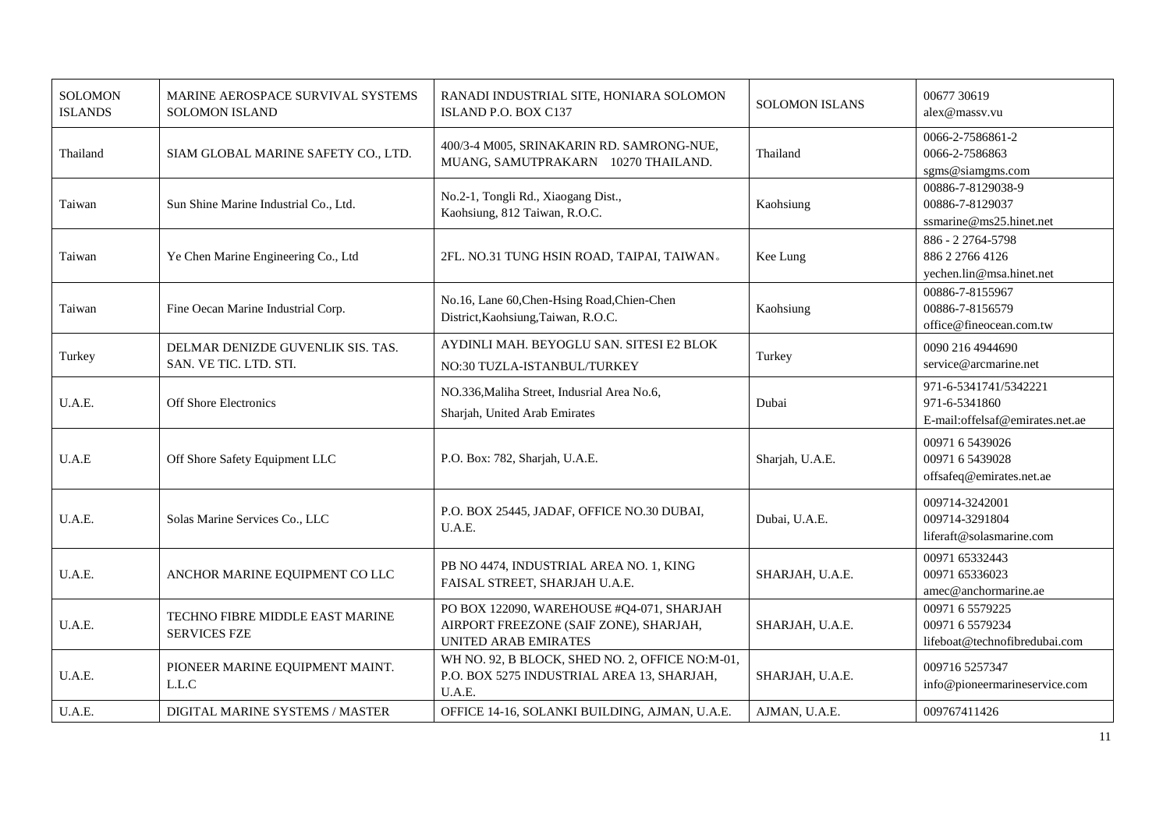| <b>SOLOMON</b><br><b>ISLANDS</b> | MARINE AEROSPACE SURVIVAL SYSTEMS<br><b>SOLOMON ISLAND</b>  | RANADI INDUSTRIAL SITE, HONIARA SOLOMON<br>ISLAND P.O. BOX C137                                             | <b>SOLOMON ISLANS</b> | 00677 30619<br>alex@massv.vu                                               |
|----------------------------------|-------------------------------------------------------------|-------------------------------------------------------------------------------------------------------------|-----------------------|----------------------------------------------------------------------------|
| Thailand                         | SIAM GLOBAL MARINE SAFETY CO., LTD.                         | 400/3-4 M005, SRINAKARIN RD. SAMRONG-NUE,<br>MUANG, SAMUTPRAKARN 10270 THAILAND.                            | Thailand              | 0066-2-7586861-2<br>0066-2-7586863<br>sgms@siamgms.com                     |
| Taiwan                           | Sun Shine Marine Industrial Co., Ltd.                       | No.2-1, Tongli Rd., Xiaogang Dist.,<br>Kaohsiung, 812 Taiwan, R.O.C.                                        | Kaohsiung             | 00886-7-8129038-9<br>00886-7-8129037<br>ssmarine@ms25.hinet.net            |
| Taiwan                           | Ye Chen Marine Engineering Co., Ltd                         | 2FL. NO.31 TUNG HSIN ROAD, TAIPAI, TAIWAN.                                                                  | Kee Lung              | 886 - 2 2764-5798<br>886 2 2766 4126<br>yechen.lin@msa.hinet.net           |
| Taiwan                           | Fine Oecan Marine Industrial Corp.                          | No.16, Lane 60, Chen-Hsing Road, Chien-Chen<br>District, Kaohsiung, Taiwan, R.O.C.                          | Kaohsiung             | 00886-7-8155967<br>00886-7-8156579<br>office@fineocean.com.tw              |
| Turkey                           | DELMAR DENIZDE GUVENLIK SIS. TAS.<br>SAN. VE TIC. LTD. STI. | AYDINLI MAH. BEYOGLU SAN. SITESI E2 BLOK<br>NO:30 TUZLA-ISTANBUL/TURKEY                                     | Turkey                | 0090 216 4944690<br>service@arcmarine.net                                  |
| U.A.E.                           | <b>Off Shore Electronics</b>                                | NO.336, Maliha Street, Indusrial Area No.6,<br>Sharjah, United Arab Emirates                                | Dubai                 | 971-6-5341741/5342221<br>971-6-5341860<br>E-mail: offelsaf@emirates.net.ae |
| U.A.E                            | Off Shore Safety Equipment LLC                              | P.O. Box: 782, Sharjah, U.A.E.                                                                              | Sharjah, U.A.E.       | 00971 6 5439026<br>00971 6 5439028<br>offsafeq@emirates.net.ae             |
| U.A.E.                           | Solas Marine Services Co., LLC                              | P.O. BOX 25445, JADAF, OFFICE NO.30 DUBAI,<br>U.A.E.                                                        | Dubai, U.A.E.         | 009714-3242001<br>009714-3291804<br>liferaft@solasmarine.com               |
| U.A.E.                           | ANCHOR MARINE EQUIPMENT CO LLC                              | PB NO 4474, INDUSTRIAL AREA NO. 1, KING<br>FAISAL STREET, SHARJAH U.A.E.                                    | SHARJAH, U.A.E.       | 00971 65332443<br>00971 65336023<br>amec@anchormarine.ae                   |
| U.A.E.                           | TECHNO FIBRE MIDDLE EAST MARINE<br><b>SERVICES FZE</b>      | PO BOX 122090, WAREHOUSE #Q4-071, SHARJAH<br>AIRPORT FREEZONE (SAIF ZONE), SHARJAH,<br>UNITED ARAB EMIRATES | SHARJAH, U.A.E.       | 00971 6 5579225<br>00971 6 5579234<br>lifeboat@technofibredubai.com        |
| U.A.E.                           | PIONEER MARINE EQUIPMENT MAINT.<br>L.L.C                    | WH NO. 92, B BLOCK, SHED NO. 2, OFFICE NO:M-01,<br>P.O. BOX 5275 INDUSTRIAL AREA 13, SHARJAH,<br>U.A.E.     | SHARJAH, U.A.E.       | 009716 5257347<br>info@pioneermarineservice.com                            |
| U.A.E.                           | DIGITAL MARINE SYSTEMS / MASTER                             | OFFICE 14-16, SOLANKI BUILDING, AJMAN, U.A.E.                                                               | AJMAN, U.A.E.         | 009767411426                                                               |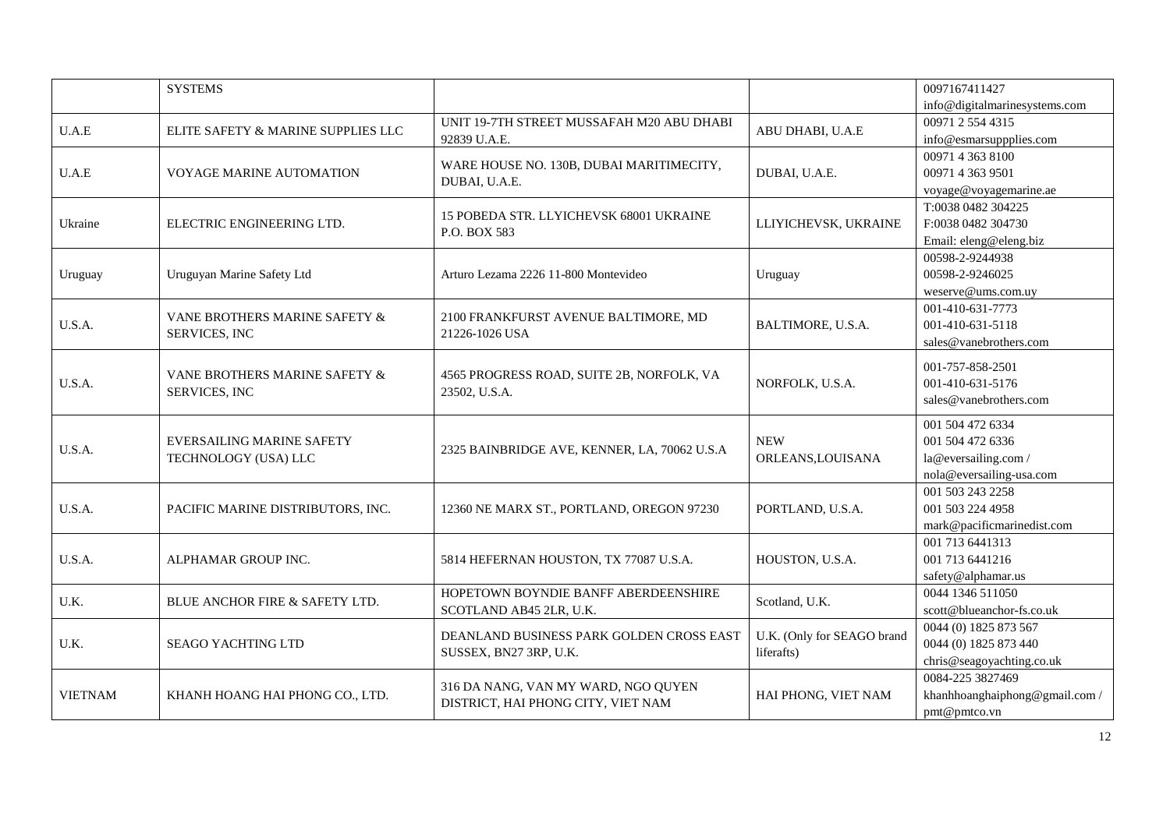|                | <b>SYSTEMS</b>                     |                                                            |                                 | 0097167411427                 |
|----------------|------------------------------------|------------------------------------------------------------|---------------------------------|-------------------------------|
|                |                                    |                                                            |                                 | info@digitalmarinesystems.com |
| U.A.E          | ELITE SAFETY & MARINE SUPPLIES LLC | UNIT 19-7TH STREET MUSSAFAH M20 ABU DHABI                  | ABU DHABI, U.A.E                | 00971 2 554 4315              |
|                |                                    | 92839 U.A.E.                                               |                                 | info@esmarsuppplies.com       |
|                |                                    | WARE HOUSE NO. 130B, DUBAI MARITIMECITY,                   |                                 | 0097143638100                 |
| U.A.E          | VOYAGE MARINE AUTOMATION           | DUBAI, U.A.E.                                              | DUBAI, U.A.E.                   | 00971 4 363 9501              |
|                |                                    |                                                            |                                 | voyage@voyagemarine.ae        |
|                |                                    | 15 POBEDA STR. LLYICHEVSK 68001 UKRAINE                    |                                 | T:0038 0482 304225            |
| Ukraine        | ELECTRIC ENGINEERING LTD.          | P.O. BOX 583                                               | LLIYICHEVSK, UKRAINE            | F:0038 0482 304730            |
|                |                                    |                                                            |                                 | Email: eleng@eleng.biz        |
|                |                                    |                                                            |                                 | 00598-2-9244938               |
| Uruguay        | Uruguyan Marine Safety Ltd         | Arturo Lezama 2226 11-800 Montevideo                       | Uruguay                         | 00598-2-9246025               |
|                |                                    |                                                            |                                 | weserve@ums.com.uy            |
|                | VANE BROTHERS MARINE SAFETY &      | 2100 FRANKFURST AVENUE BALTIMORE, MD                       |                                 | 001-410-631-7773              |
| U.S.A.         | SERVICES, INC                      | 21226-1026 USA                                             | BALTIMORE, U.S.A.               | 001-410-631-5118              |
|                |                                    |                                                            |                                 | sales@vanebrothers.com        |
|                |                                    |                                                            |                                 | 001-757-858-2501              |
| U.S.A.         | VANE BROTHERS MARINE SAFETY &      | 4565 PROGRESS ROAD, SUITE 2B, NORFOLK, VA<br>23502, U.S.A. | NORFOLK, U.S.A.                 | 001-410-631-5176              |
|                | SERVICES, INC                      |                                                            |                                 | sales @ vanebrothers.com      |
|                |                                    |                                                            |                                 |                               |
|                |                                    |                                                            |                                 | 001 504 472 6334              |
| U.S.A.         | <b>EVERSAILING MARINE SAFETY</b>   | 2325 BAINBRIDGE AVE, KENNER, LA, 70062 U.S.A               | <b>NEW</b><br>ORLEANS, LOUISANA | 001 504 472 6336              |
|                | TECHNOLOGY (USA) LLC               |                                                            |                                 | la@eversailing.com/           |
|                |                                    |                                                            |                                 | nola@eversailing-usa.com      |
|                |                                    |                                                            |                                 | 001 503 243 2258              |
| U.S.A.         | PACIFIC MARINE DISTRIBUTORS, INC.  | 12360 NE MARX ST., PORTLAND, OREGON 97230                  | PORTLAND, U.S.A.                | 001 503 224 4958              |
|                |                                    |                                                            |                                 | mark@pacificmarinedist.com    |
|                |                                    |                                                            |                                 | 001 713 6441313               |
| U.S.A.         | ALPHAMAR GROUP INC.                | 5814 HEFERNAN HOUSTON, TX 77087 U.S.A.                     | HOUSTON, U.S.A.                 | 001 713 6441216               |
|                |                                    |                                                            |                                 | safety@alphamar.us            |
| U.K.           | BLUE ANCHOR FIRE & SAFETY LTD.     | HOPETOWN BOYNDIE BANFF ABERDEENSHIRE                       | Scotland, U.K.                  | 0044 1346 511050              |
|                |                                    | SCOTLAND AB45 2LR, U.K.                                    |                                 | scott@blueanchor-fs.co.uk     |
|                |                                    | DEANLAND BUSINESS PARK GOLDEN CROSS EAST                   | U.K. (Only for SEAGO brand      | 0044 (0) 1825 873 567         |
| U.K.           | <b>SEAGO YACHTING LTD</b>          | SUSSEX, BN27 3RP, U.K.                                     | liferafts)                      | 0044 (0) 1825 873 440         |
|                |                                    |                                                            |                                 | chris@seagoyachting.co.uk     |
|                |                                    | 316 DA NANG, VAN MY WARD, NGO QUYEN                        |                                 | 0084-225 3827469              |
| <b>VIETNAM</b> | KHANH HOANG HAI PHONG CO., LTD.    | DISTRICT, HAI PHONG CITY, VIET NAM                         | HAI PHONG, VIET NAM             | khanhhoanghaiphong@gmail.com/ |
|                |                                    |                                                            |                                 | pmt@pmtco.vn                  |